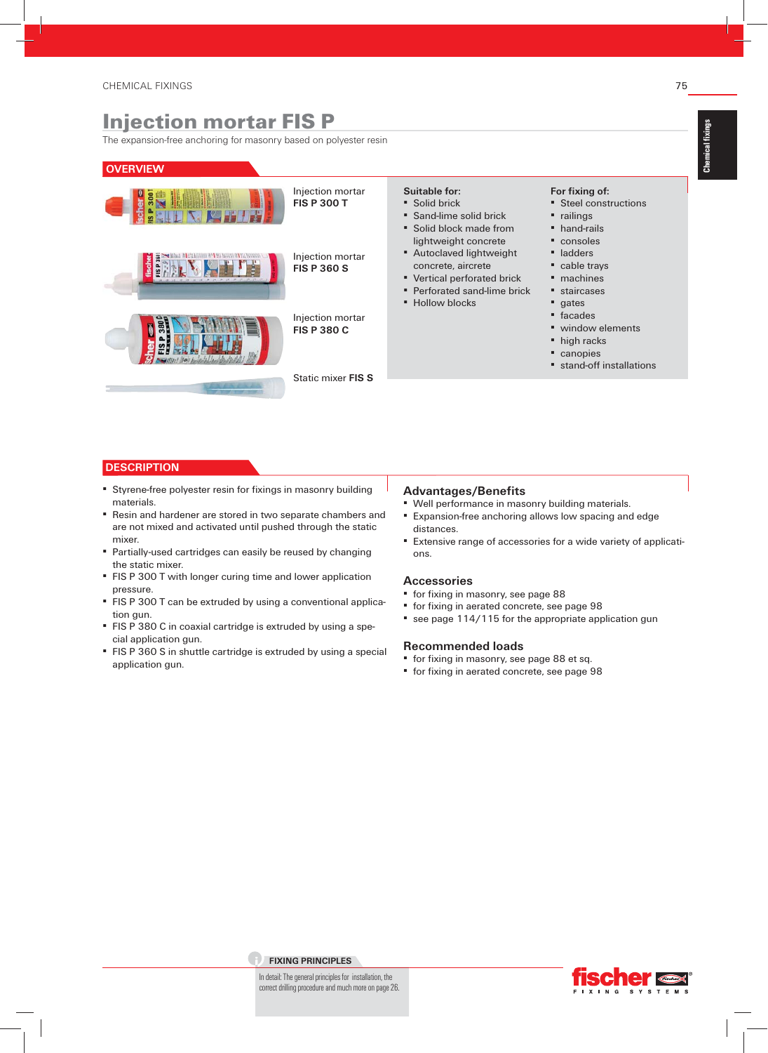## Injection mortar FIS P

The expansion-free anchoring for masonry based on polyester resin

| <b>OVERVIEW</b> |                                        |                                                                                                                                                          |                                                                                                                     |
|-----------------|----------------------------------------|----------------------------------------------------------------------------------------------------------------------------------------------------------|---------------------------------------------------------------------------------------------------------------------|
|                 | Injection mortar<br><b>FIS P 300 T</b> | Suitable for:<br>• Solid brick<br>• Sand-lime solid brick<br>• Solid block made from                                                                     | For fixing of:<br>■ Steel constructions<br>• railings<br>$\blacksquare$ hand-rails                                  |
|                 | Injection mortar<br><b>FIS P 360 S</b> | lightweight concrete<br>" Autoclaved lightweight<br>concrete, aircrete<br>■ Vertical perforated brick<br>• Perforated sand-lime brick<br>■ Hollow blocks | • consoles<br>ladders<br>• cable trays<br>$\blacksquare$ machines<br>staircases<br>$\blacksquare$ gates             |
|                 | Injection mortar<br><b>FIS P 380 C</b> |                                                                                                                                                          | $\blacksquare$ facades<br>• window elements<br>$\blacksquare$ high racks<br>• canopies<br>■ stand-off installations |
|                 | Static mixer FIS S                     |                                                                                                                                                          |                                                                                                                     |

#### **DESCRIPTION**

- **Styrene-free polyester resin for fixings in masonry building** materials.
- Resin and hardener are stored in two separate chambers and are not mixed and activated until pushed through the static mixer.
- **Partially-used cartridges can easily be reused by changing** the static mixer.
- **FIS P 300 T with longer curing time and lower application** pressure.
- **FIS P 300 T can be extruded by using a conventional applica**tion gun.
- **FIS P 380 C in coaxial cartridge is extruded by using a spe**cial application gun.
- **FIS P 360 S in shuttle cartridge is extruded by using a special** application gun.

#### **Advantages/Benefits**

- Well performance in masonry building materials.
- **Expansion-free anchoring allows low spacing and edge** distances.
- **Extensive range of accessories for a wide variety of applicati**ons.

#### **Accessories**

- **•** for fixing in masonry, see page 88
- **·** for fixing in aerated concrete, see page 98
- **•** see page 114/115 for the appropriate application gun

#### **Recommended loads**

- " for fixing in masonry, see page 88 et sq.
- **•** for fixing in aerated concrete, see page 98